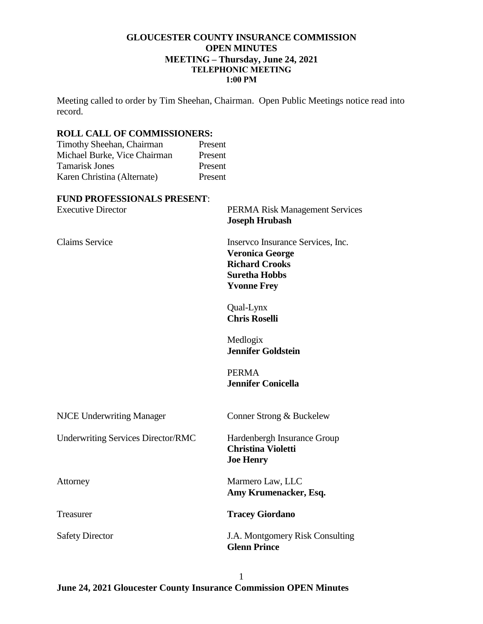# **GLOUCESTER COUNTY INSURANCE COMMISSION OPEN MINUTES MEETING – Thursday, June 24, 2021 TELEPHONIC MEETING 1:00 PM**

Meeting called to order by Tim Sheehan, Chairman. Open Public Meetings notice read into record.

### **ROLL CALL OF COMMISSIONERS:**

| Timothy Sheehan, Chairman    | Present |
|------------------------------|---------|
| Michael Burke, Vice Chairman | Present |
| <b>Tamarisk Jones</b>        | Present |
| Karen Christina (Alternate)  | Present |
|                              |         |

#### **FUND PROFESSIONALS PRESENT**:

| <b>Executive Director</b>                 | <b>PERMA Risk Management Services</b><br><b>Joseph Hrubash</b>                                                                     |
|-------------------------------------------|------------------------------------------------------------------------------------------------------------------------------------|
| <b>Claims Service</b>                     | Inserveo Insurance Services, Inc.<br><b>Veronica George</b><br><b>Richard Crooks</b><br><b>Suretha Hobbs</b><br><b>Yvonne Frey</b> |
|                                           | Qual-Lynx<br><b>Chris Roselli</b>                                                                                                  |
|                                           | Medlogix<br><b>Jennifer Goldstein</b>                                                                                              |
|                                           | <b>PERMA</b><br><b>Jennifer Conicella</b>                                                                                          |
| <b>NJCE Underwriting Manager</b>          | Conner Strong & Buckelew                                                                                                           |
| <b>Underwriting Services Director/RMC</b> | Hardenbergh Insurance Group<br><b>Christina Violetti</b><br><b>Joe Henry</b>                                                       |
| Attorney                                  | Marmero Law, LLC<br>Amy Krumenacker, Esq.                                                                                          |
| Treasurer                                 | <b>Tracey Giordano</b>                                                                                                             |
| <b>Safety Director</b>                    | J.A. Montgomery Risk Consulting<br><b>Glenn Prince</b>                                                                             |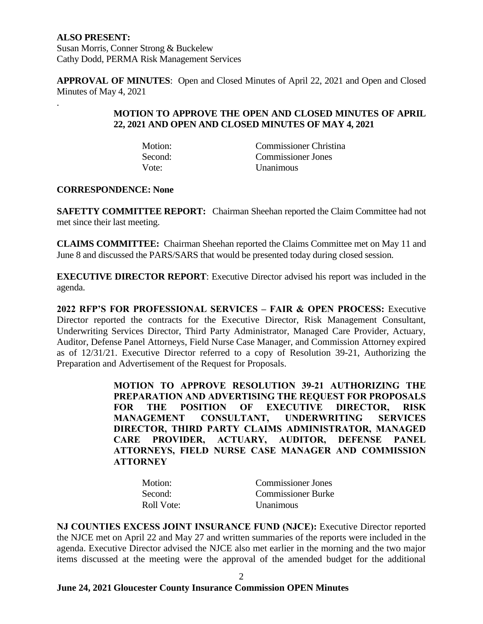**ALSO PRESENT:** Susan Morris, Conner Strong & Buckelew Cathy Dodd, PERMA Risk Management Services

**APPROVAL OF MINUTES**: Open and Closed Minutes of April 22, 2021 and Open and Closed Minutes of May 4, 2021

# **MOTION TO APPROVE THE OPEN AND CLOSED MINUTES OF APRIL 22, 2021 AND OPEN AND CLOSED MINUTES OF MAY 4, 2021**

Vote: Unanimous

Motion: Commissioner Christina Second: Commissioner Jones

# **CORRESPONDENCE: None**

.

**SAFETTY COMMITTEE REPORT:** Chairman Sheehan reported the Claim Committee had not met since their last meeting.

**CLAIMS COMMITTEE:** Chairman Sheehan reported the Claims Committee met on May 11 and June 8 and discussed the PARS/SARS that would be presented today during closed session.

**EXECUTIVE DIRECTOR REPORT**: Executive Director advised his report was included in the agenda.

**2022 RFP'S FOR PROFESSIONAL SERVICES – FAIR & OPEN PROCESS:** Executive Director reported the contracts for the Executive Director, Risk Management Consultant, Underwriting Services Director, Third Party Administrator, Managed Care Provider, Actuary, Auditor, Defense Panel Attorneys, Field Nurse Case Manager, and Commission Attorney expired as of 12/31/21. Executive Director referred to a copy of Resolution 39-21, Authorizing the Preparation and Advertisement of the Request for Proposals.

> **MOTION TO APPROVE RESOLUTION 39-21 AUTHORIZING THE PREPARATION AND ADVERTISING THE REQUEST FOR PROPOSALS FOR THE POSITION OF EXECUTIVE DIRECTOR, RISK MANAGEMENT CONSULTANT, UNDERWRITING SERVICES DIRECTOR, THIRD PARTY CLAIMS ADMINISTRATOR, MANAGED CARE PROVIDER, ACTUARY, AUDITOR, DEFENSE PANEL ATTORNEYS, FIELD NURSE CASE MANAGER AND COMMISSION ATTORNEY**

| Motion:    | <b>Commissioner Jones</b> |
|------------|---------------------------|
| Second:    | <b>Commissioner Burke</b> |
| Roll Vote: | <i>Unanimous</i>          |

**NJ COUNTIES EXCESS JOINT INSURANCE FUND (NJCE):** Executive Director reported the NJCE met on April 22 and May 27 and written summaries of the reports were included in the agenda. Executive Director advised the NJCE also met earlier in the morning and the two major items discussed at the meeting were the approval of the amended budget for the additional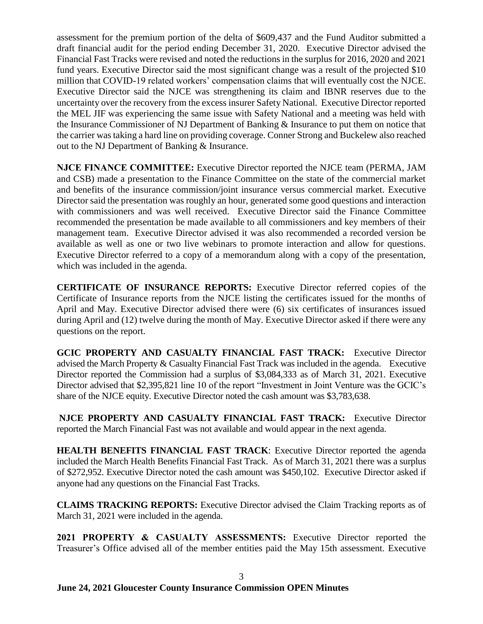assessment for the premium portion of the delta of \$609,437 and the Fund Auditor submitted a draft financial audit for the period ending December 31, 2020. Executive Director advised the Financial Fast Tracks were revised and noted the reductions in the surplus for 2016, 2020 and 2021 fund years. Executive Director said the most significant change was a result of the projected \$10 million that COVID-19 related workers' compensation claims that will eventually cost the NJCE. Executive Director said the NJCE was strengthening its claim and IBNR reserves due to the uncertainty over the recovery from the excess insurer Safety National. Executive Director reported the MEL JIF was experiencing the same issue with Safety National and a meeting was held with the Insurance Commissioner of NJ Department of Banking & Insurance to put them on notice that the carrier wastaking a hard line on providing coverage. Conner Strong and Buckelew also reached out to the NJ Department of Banking & Insurance.

**NJCE FINANCE COMMITTEE:** Executive Director reported the NJCE team (PERMA, JAM and CSB) made a presentation to the Finance Committee on the state of the commercial market and benefits of the insurance commission/joint insurance versus commercial market. Executive Director said the presentation was roughly an hour, generated some good questions and interaction with commissioners and was well received. Executive Director said the Finance Committee recommended the presentation be made available to all commissioners and key members of their management team. Executive Director advised it was also recommended a recorded version be available as well as one or two live webinars to promote interaction and allow for questions. Executive Director referred to a copy of a memorandum along with a copy of the presentation, which was included in the agenda.

**CERTIFICATE OF INSURANCE REPORTS:** Executive Director referred copies of the Certificate of Insurance reports from the NJCE listing the certificates issued for the months of April and May. Executive Director advised there were (6) six certificates of insurances issued during April and (12) twelve during the month of May. Executive Director asked if there were any questions on the report.

**GCIC PROPERTY AND CASUALTY FINANCIAL FAST TRACK:** Executive Director advised the March Property & Casualty Financial Fast Track was included in the agenda. Executive Director reported the Commission had a surplus of \$3,084,333 as of March 31, 2021. Executive Director advised that \$2,395,821 line 10 of the report "Investment in Joint Venture was the GCIC's share of the NJCE equity. Executive Director noted the cash amount was \$3,783,638.

**NJCE PROPERTY AND CASUALTY FINANCIAL FAST TRACK:** Executive Director reported the March Financial Fast was not available and would appear in the next agenda.

**HEALTH BENEFITS FINANCIAL FAST TRACK**: Executive Director reported the agenda included the March Health Benefits Financial Fast Track. As of March 31, 2021 there was a surplus of \$272,952. Executive Director noted the cash amount was \$450,102. Executive Director asked if anyone had any questions on the Financial Fast Tracks.

**CLAIMS TRACKING REPORTS:** Executive Director advised the Claim Tracking reports as of March 31, 2021 were included in the agenda.

**2021 PROPERTY & CASUALTY ASSESSMENTS:** Executive Director reported the Treasurer's Office advised all of the member entities paid the May 15th assessment. Executive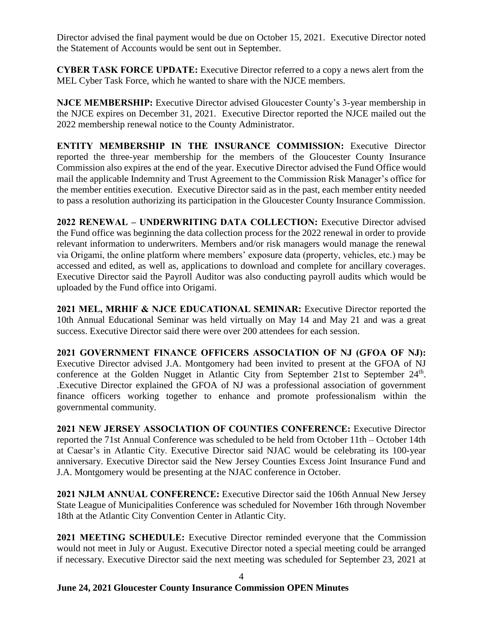Director advised the final payment would be due on October 15, 2021. Executive Director noted the Statement of Accounts would be sent out in September.

**CYBER TASK FORCE UPDATE:** Executive Director referred to a copy a news alert from the MEL Cyber Task Force, which he wanted to share with the NJCE members.

**NJCE MEMBERSHIP:** Executive Director advised Gloucester County's 3-year membership in the NJCE expires on December 31, 2021. Executive Director reported the NJCE mailed out the 2022 membership renewal notice to the County Administrator.

**ENTITY MEMBERSHIP IN THE INSURANCE COMMISSION:** Executive Director reported the three-year membership for the members of the Gloucester County Insurance Commission also expires at the end of the year. Executive Director advised the Fund Office would mail the applicable Indemnity and Trust Agreement to the Commission Risk Manager's office for the member entities execution. Executive Director said as in the past, each member entity needed to pass a resolution authorizing its participation in the Gloucester County Insurance Commission.

**2022 RENEWAL – UNDERWRITING DATA COLLECTION:** Executive Director advised the Fund office was beginning the data collection process for the 2022 renewal in order to provide relevant information to underwriters. Members and/or risk managers would manage the renewal via Origami, the online platform where members' exposure data (property, vehicles, etc.) may be accessed and edited, as well as, applications to download and complete for ancillary coverages. Executive Director said the Payroll Auditor was also conducting payroll audits which would be uploaded by the Fund office into Origami.

**2021 MEL, MRHIF & NJCE EDUCATIONAL SEMINAR:** Executive Director reported the 10th Annual Educational Seminar was held virtually on May 14 and May 21 and was a great success. Executive Director said there were over 200 attendees for each session.

**2021 GOVERNMENT FINANCE OFFICERS ASSOCIATION OF NJ (GFOA OF NJ):** Executive Director advised J.A. Montgomery had been invited to present at the GFOA of NJ conference at the Golden Nugget in Atlantic City from September 21st to September 24<sup>th</sup>. .Executive Director explained the GFOA of NJ was a professional association of government finance officers working together to enhance and promote professionalism within the governmental community.

**2021 NEW JERSEY ASSOCIATION OF COUNTIES CONFERENCE:** Executive Director reported the 71st Annual Conference was scheduled to be held from October 11th – October 14th at Caesar's in Atlantic City. Executive Director said NJAC would be celebrating its 100-year anniversary. Executive Director said the New Jersey Counties Excess Joint Insurance Fund and J.A. Montgomery would be presenting at the NJAC conference in October.

**2021 NJLM ANNUAL CONFERENCE:** Executive Director said the 106th Annual New Jersey State League of Municipalities Conference was scheduled for November 16th through November 18th at the Atlantic City Convention Center in Atlantic City.

**2021 MEETING SCHEDULE:** Executive Director reminded everyone that the Commission would not meet in July or August. Executive Director noted a special meeting could be arranged if necessary. Executive Director said the next meeting was scheduled for September 23, 2021 at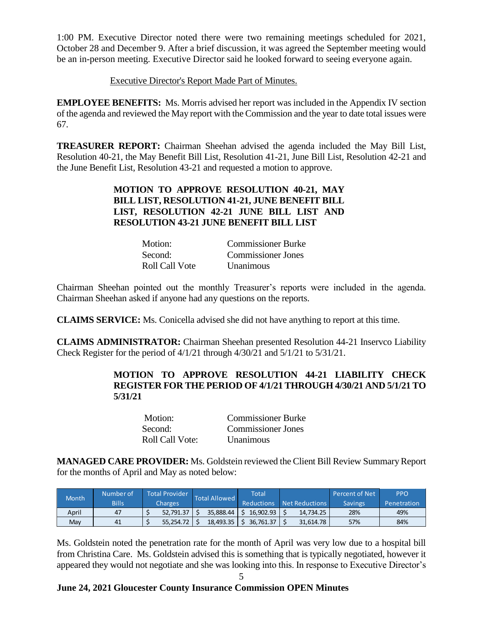1:00 PM. Executive Director noted there were two remaining meetings scheduled for 2021, October 28 and December 9. After a brief discussion, it was agreed the September meeting would be an in-person meeting. Executive Director said he looked forward to seeing everyone again.

# Executive Director's Report Made Part of Minutes.

**EMPLOYEE BENEFITS:** Ms. Morris advised her report was included in the Appendix IV section of the agenda and reviewed the May report with the Commission and the year to date total issues were 67.

**TREASURER REPORT:** Chairman Sheehan advised the agenda included the May Bill List, Resolution 40-21, the May Benefit Bill List, Resolution 41-21, June Bill List, Resolution 42-21 and the June Benefit List, Resolution 43-21 and requested a motion to approve.

# **MOTION TO APPROVE RESOLUTION 40-21, MAY BILL LIST, RESOLUTION 41-21, JUNE BENEFIT BILL LIST, RESOLUTION 42-21 JUNE BILL LIST AND RESOLUTION 43-21 JUNE BENEFIT BILL LIST**

| Motion:        | <b>Commissioner Burke</b> |
|----------------|---------------------------|
| Second:        | Commissioner Jones        |
| Roll Call Vote | Unanimous                 |

Chairman Sheehan pointed out the monthly Treasurer's reports were included in the agenda. Chairman Sheehan asked if anyone had any questions on the reports.

**CLAIMS SERVICE:** Ms. Conicella advised she did not have anything to report at this time.

**CLAIMS ADMINISTRATOR:** Chairman Sheehan presented Resolution 44-21 Inservco Liability Check Register for the period of 4/1/21 through 4/30/21 and 5/1/21 to 5/31/21.

# **MOTION TO APPROVE RESOLUTION 44-21 LIABILITY CHECK REGISTER FOR THE PERIOD OF 4/1/21 THROUGH 4/30/21 AND 5/1/21 TO 5/31/21**

| Motion:         | <b>Commissioner Burke</b> |
|-----------------|---------------------------|
| Second:         | Commissioner Jones        |
| Roll Call Vote: | <b>Unanimous</b>          |

**MANAGED CARE PROVIDER:** Ms. Goldstein reviewed the Client Bill Review Summary Report for the months of April and May as noted below:

| <b>Month</b> | Number of    | <b>Total Provider</b> | <b>Total Allowed</b> |           |                   |                |                |                    |  |  | Total |  | <b>Percent of Net</b> | <b>PPO</b> |
|--------------|--------------|-----------------------|----------------------|-----------|-------------------|----------------|----------------|--------------------|--|--|-------|--|-----------------------|------------|
|              | <b>Bills</b> | <b>Charges</b>        |                      |           | <b>Reductions</b> | Net Reductions | <b>Savings</b> | <b>Penetration</b> |  |  |       |  |                       |            |
| April        | 47           | 52.791.37             |                      | 35.888.44 | 16.902.93         | 14.734.25      | 28%            | 49%                |  |  |       |  |                       |            |
| Mav          | 41           | 55.254.72             |                      | 18,493.35 | 36.761.37         | 31.614.78      | 57%            | 84%                |  |  |       |  |                       |            |

Ms. Goldstein noted the penetration rate for the month of April was very low due to a hospital bill from Christina Care. Ms. Goldstein advised this is something that is typically negotiated, however it appeared they would not negotiate and she was looking into this. In response to Executive Director's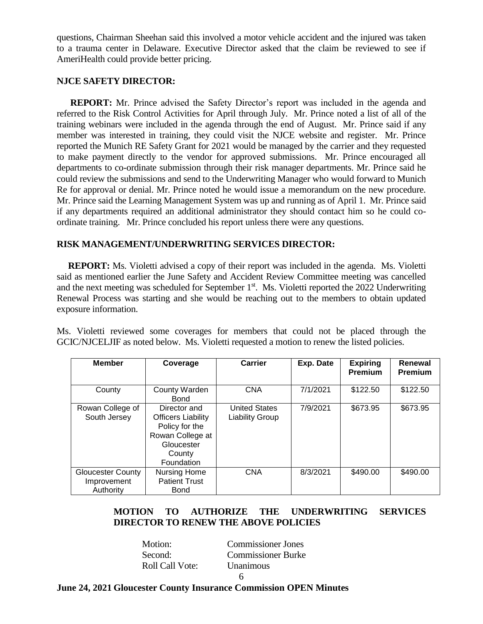questions, Chairman Sheehan said this involved a motor vehicle accident and the injured was taken to a trauma center in Delaware. Executive Director asked that the claim be reviewed to see if AmeriHealth could provide better pricing.

### **NJCE SAFETY DIRECTOR:**

 **REPORT:** Mr. Prince advised the Safety Director's report was included in the agenda and referred to the Risk Control Activities for April through July. Mr. Prince noted a list of all of the training webinars were included in the agenda through the end of August. Mr. Prince said if any member was interested in training, they could visit the NJCE website and register. Mr. Prince reported the Munich RE Safety Grant for 2021 would be managed by the carrier and they requested to make payment directly to the vendor for approved submissions. Mr. Prince encouraged all departments to co-ordinate submission through their risk manager departments. Mr. Prince said he could review the submissions and send to the Underwriting Manager who would forward to Munich Re for approval or denial. Mr. Prince noted he would issue a memorandum on the new procedure. Mr. Prince said the Learning Management System was up and running as of April 1. Mr. Prince said if any departments required an additional administrator they should contact him so he could coordinate training. Mr. Prince concluded his report unless there were any questions.

# **RISK MANAGEMENT/UNDERWRITING SERVICES DIRECTOR:**

 **REPORT:** Ms. Violetti advised a copy of their report was included in the agenda. Ms. Violetti said as mentioned earlier the June Safety and Accident Review Committee meeting was cancelled and the next meeting was scheduled for September 1<sup>st</sup>. Ms. Violetti reported the 2022 Underwriting Renewal Process was starting and she would be reaching out to the members to obtain updated exposure information.

Ms. Violetti reviewed some coverages for members that could not be placed through the GCIC/NJCELJIF as noted below. Ms. Violetti requested a motion to renew the listed policies.

| <b>Member</b>                                        | Coverage                                                                                                              | Carrier                                        | Exp. Date | <b>Expiring</b><br><b>Premium</b> | Renewal<br><b>Premium</b> |
|------------------------------------------------------|-----------------------------------------------------------------------------------------------------------------------|------------------------------------------------|-----------|-----------------------------------|---------------------------|
| County                                               | County Warden<br>Bond                                                                                                 | <b>CNA</b>                                     | 7/1/2021  | \$122.50                          | \$122.50                  |
| Rowan College of<br>South Jersey                     | Director and<br><b>Officers Liability</b><br>Policy for the<br>Rowan College at<br>Gloucester<br>County<br>Foundation | <b>United States</b><br><b>Liability Group</b> | 7/9/2021  | \$673.95                          | \$673.95                  |
| <b>Gloucester County</b><br>Improvement<br>Authority | <b>Nursing Home</b><br><b>Patient Trust</b><br><b>Bond</b>                                                            | <b>CNA</b>                                     | 8/3/2021  | \$490.00                          | \$490.00                  |

# **MOTION TO AUTHORIZE THE UNDERWRITING SERVICES DIRECTOR TO RENEW THE ABOVE POLICIES**

Motion: Commissioner Jones Second: Commissioner Burke Roll Call Vote: Unanimous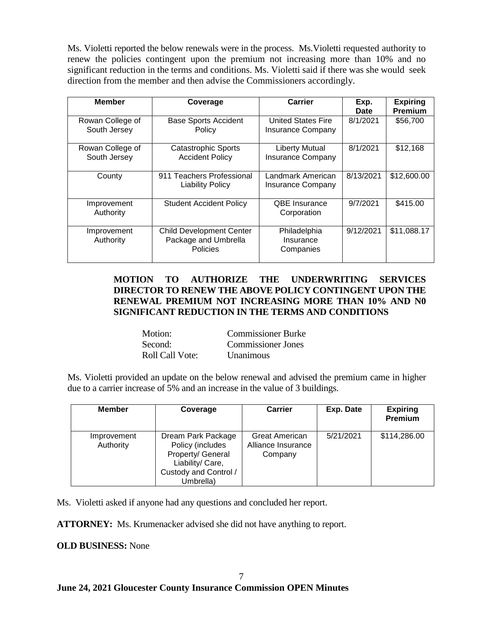Ms. Violetti reported the below renewals were in the process. Ms.Violetti requested authority to renew the policies contingent upon the premium not increasing more than 10% and no significant reduction in the terms and conditions. Ms. Violetti said if there was she would seek direction from the member and then advise the Commissioners accordingly.

| <b>Member</b>                    | Coverage                                                                   | Carrier                                               | Exp.<br><b>Date</b> | <b>Expiring</b><br><b>Premium</b> |
|----------------------------------|----------------------------------------------------------------------------|-------------------------------------------------------|---------------------|-----------------------------------|
| Rowan College of<br>South Jersey | <b>Base Sports Accident</b><br>Policy                                      | <b>United States Fire</b><br><b>Insurance Company</b> | 8/1/2021            | \$56,700                          |
| Rowan College of<br>South Jersey | <b>Catastrophic Sports</b><br><b>Accident Policy</b>                       | <b>Liberty Mutual</b><br><b>Insurance Company</b>     | 8/1/2021            | \$12,168                          |
| County                           | 911 Teachers Professional<br><b>Liability Policy</b>                       | Landmark American<br><b>Insurance Company</b>         | 8/13/2021           | \$12,600.00                       |
| Improvement<br>Authority         | <b>Student Accident Policy</b>                                             | <b>QBE</b> Insurance<br>Corporation                   | 9/7/2021            | \$415.00                          |
| Improvement<br>Authority         | <b>Child Development Center</b><br>Package and Umbrella<br><b>Policies</b> | Philadelphia<br>Insurance<br>Companies                | 9/12/2021           | \$11,088.17                       |

# **MOTION TO AUTHORIZE THE UNDERWRITING SERVICES DIRECTOR TO RENEW THE ABOVE POLICY CONTINGENT UPON THE RENEWAL PREMIUM NOT INCREASING MORE THAN 10% AND N0 SIGNIFICANT REDUCTION IN THE TERMS AND CONDITIONS**

| Motion:                | <b>Commissioner Burke</b> |
|------------------------|---------------------------|
| Second:                | <b>Commissioner Jones</b> |
| <b>Roll Call Vote:</b> | <b>Unanimous</b>          |

Ms. Violetti provided an update on the below renewal and advised the premium came in higher due to a carrier increase of 5% and an increase in the value of 3 buildings.

| <b>Member</b>            | Coverage                                                                                                              | Carrier                                         | Exp. Date | <b>Expiring</b><br><b>Premium</b> |
|--------------------------|-----------------------------------------------------------------------------------------------------------------------|-------------------------------------------------|-----------|-----------------------------------|
| Improvement<br>Authority | Dream Park Package<br>Policy (includes<br>Property/ General<br>Liability/ Care,<br>Custody and Control /<br>Umbrella) | Great American<br>Alliance Insurance<br>Company | 5/21/2021 | \$114,286.00                      |

Ms. Violetti asked if anyone had any questions and concluded her report.

**ATTORNEY:** Ms. Krumenacker advised she did not have anything to report.

**OLD BUSINESS:** None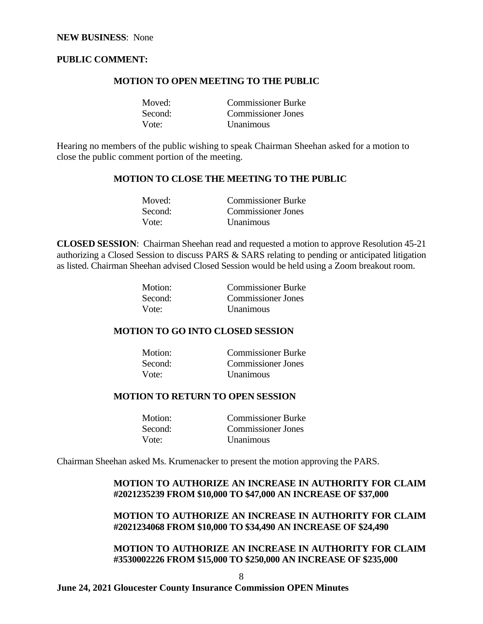#### **PUBLIC COMMENT:**

#### **MOTION TO OPEN MEETING TO THE PUBLIC**

| Moved:  | <b>Commissioner Burke</b> |
|---------|---------------------------|
| Second: | Commissioner Jones        |
| Vote:   | <b>Unanimous</b>          |

Hearing no members of the public wishing to speak Chairman Sheehan asked for a motion to close the public comment portion of the meeting.

#### **MOTION TO CLOSE THE MEETING TO THE PUBLIC**

| Moved:  | <b>Commissioner Burke</b> |
|---------|---------------------------|
| Second: | <b>Commissioner Jones</b> |
| Vote:   | <b>Unanimous</b>          |

**CLOSED SESSION**: Chairman Sheehan read and requested a motion to approve Resolution 45-21 authorizing a Closed Session to discuss PARS & SARS relating to pending or anticipated litigation as listed. Chairman Sheehan advised Closed Session would be held using a Zoom breakout room.

| Motion: | <b>Commissioner Burke</b> |
|---------|---------------------------|
| Second: | Commissioner Jones        |
| Vote:   | <b>Unanimous</b>          |

#### **MOTION TO GO INTO CLOSED SESSION**

| Motion: | <b>Commissioner Burke</b> |
|---------|---------------------------|
| Second: | <b>Commissioner Jones</b> |
| Vote:   | <i>Unanimous</i>          |

# **MOTION TO RETURN TO OPEN SESSION**

| Motion: | <b>Commissioner Burke</b> |
|---------|---------------------------|
| Second: | <b>Commissioner Jones</b> |
| Vote:   | <b>Unanimous</b>          |

Chairman Sheehan asked Ms. Krumenacker to present the motion approving the PARS.

# **MOTION TO AUTHORIZE AN INCREASE IN AUTHORITY FOR CLAIM #2021235239 FROM \$10,000 TO \$47,000 AN INCREASE OF \$37,000**

### **MOTION TO AUTHORIZE AN INCREASE IN AUTHORITY FOR CLAIM #2021234068 FROM \$10,000 TO \$34,490 AN INCREASE OF \$24,490**

# **MOTION TO AUTHORIZE AN INCREASE IN AUTHORITY FOR CLAIM #3530002226 FROM \$15,000 TO \$250,000 AN INCREASE OF \$235,000**

8